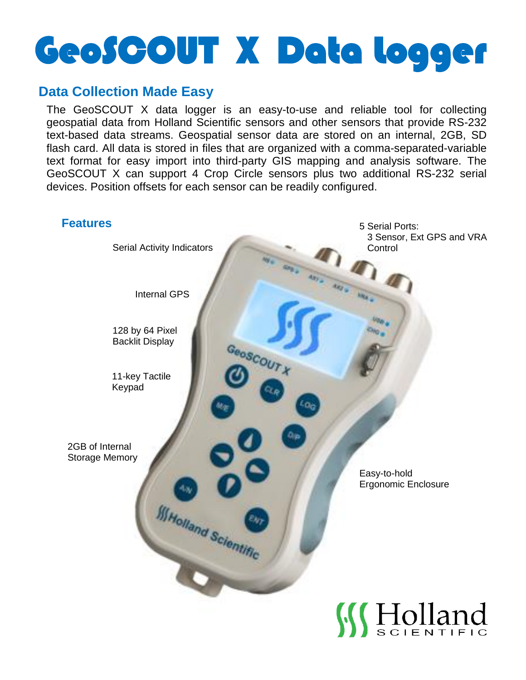# GeoSCOUT X Data Logger

## **Data Collection Made Easy**

The GeoSCOUT X data logger is an easy-to-use and reliable tool for collecting geospatial data from Holland Scientific sensors and other sensors that provide RS-232 text-based data streams. Geospatial sensor data are stored on an internal, 2GB, SD flash card. All data is stored in files that are organized with a comma-separated-variable text format for easy import into third-party GIS mapping and analysis software. The GeoSCOUT X can support 4 Crop Circle sensors plus two additional RS-232 serial devices. Position offsets for each sensor can be readily configured.